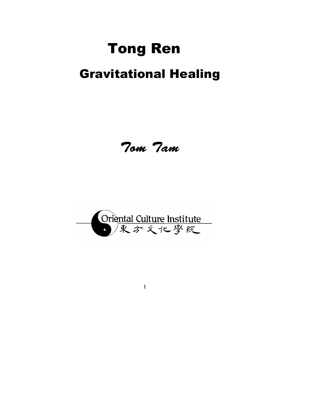# Tong Ren

## Gravitational Healing

Tom Tam

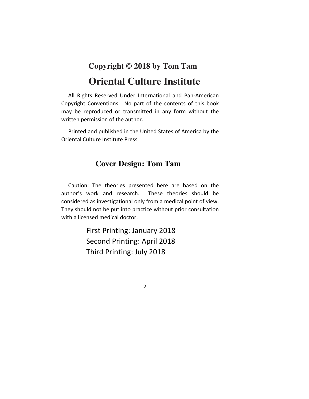### **Copyright © 2018 by Tom Tam Oriental Culture Institute**

 All Rights Reserved Under International and Pan-American Copyright Conventions. No part of the contents of this book may be reproduced or transmitted in any form without the written permission of the author.

 Printed and published in the United States of America by the Oriental Culture Institute Press.

### **Cover Design: Tom Tam**

 Caution: The theories presented here are based on the author's work and research. These theories should be considered as investigational only from a medical point of view. They should not be put into practice without prior consultation with a licensed medical doctor.

> First Printing: January 2018 Second Printing: April 2018 Third Printing: July 2018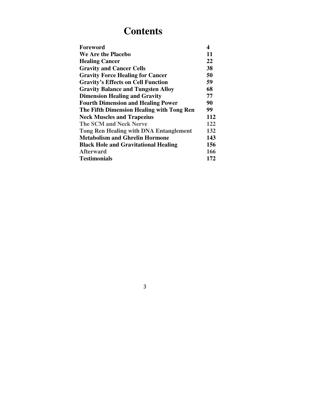### **Contents**

| Foreword                                      | 4   |
|-----------------------------------------------|-----|
| We Are the Placebo                            | 11  |
| <b>Healing Cancer</b>                         | 22  |
| <b>Gravity and Cancer Cells</b>               | 38  |
| <b>Gravity Force Healing for Cancer</b>       | 50  |
| <b>Gravity's Effects on Cell Function</b>     | 59  |
| <b>Gravity Balance and Tungsten Alloy</b>     | 68  |
| <b>Dimension Healing and Gravity</b>          | 77  |
| <b>Fourth Dimension and Healing Power</b>     | 90  |
| The Fifth Dimension Healing with Tong Ren     | 99  |
| <b>Neck Muscles and Trapezius</b>             | 112 |
| <b>The SCM and Neck Nerve</b>                 | 122 |
| <b>Tong Ren Healing with DNA Entanglement</b> | 132 |
| <b>Metabolism and Ghrelin Hormone</b>         | 143 |
| <b>Black Hole and Gravitational Healing</b>   | 156 |
| <b>Afterward</b>                              | 166 |
| <b>Testimonials</b>                           | 172 |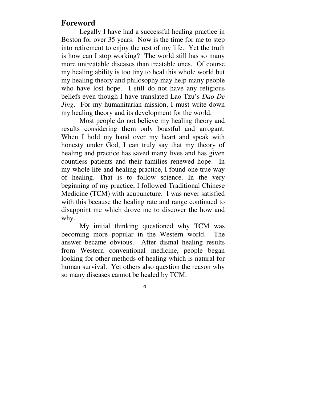### **Foreword**

Legally I have had a successful healing practice in Boston for over 35 years. Now is the time for me to step into retirement to enjoy the rest of my life. Yet the truth is how can I stop working? The world still has so many more untreatable diseases than treatable ones. Of course my healing ability is too tiny to heal this whole world but my healing theory and philosophy may help many people who have lost hope. I still do not have any religious beliefs even though I have translated Lao Tzu's *Dao De Jing*. For my humanitarian mission, I must write down my healing theory and its development for the world.

Most people do not believe my healing theory and results considering them only boastful and arrogant. When I hold my hand over my heart and speak with honesty under God, I can truly say that my theory of healing and practice has saved many lives and has given countless patients and their families renewed hope. In my whole life and healing practice, I found one true way of healing. That is to follow science. In the very beginning of my practice, I followed Traditional Chinese Medicine (TCM) with acupuncture. I was never satisfied with this because the healing rate and range continued to disappoint me which drove me to discover the how and why.

My initial thinking questioned why TCM was becoming more popular in the Western world. The answer became obvious. After dismal healing results from Western conventional medicine, people began looking for other methods of healing which is natural for human survival. Yet others also question the reason why so many diseases cannot be healed by TCM.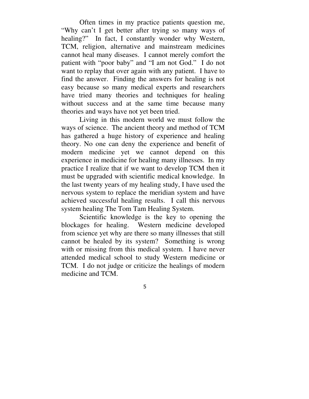Often times in my practice patients question me, "Why can't I get better after trying so many ways of healing?" In fact, I constantly wonder why Western, TCM, religion, alternative and mainstream medicines cannot heal many diseases. I cannot merely comfort the patient with "poor baby" and "I am not God." I do not want to replay that over again with any patient. I have to find the answer. Finding the answers for healing is not easy because so many medical experts and researchers have tried many theories and techniques for healing without success and at the same time because many theories and ways have not yet been tried.

Living in this modern world we must follow the ways of science. The ancient theory and method of TCM has gathered a huge history of experience and healing theory. No one can deny the experience and benefit of modern medicine yet we cannot depend on this experience in medicine for healing many illnesses. In my practice I realize that if we want to develop TCM then it must be upgraded with scientific medical knowledge. In the last twenty years of my healing study, I have used the nervous system to replace the meridian system and have achieved successful healing results. I call this nervous system healing The Tom Tam Healing System.

Scientific knowledge is the key to opening the blockages for healing. Western medicine developed from science yet why are there so many illnesses that still cannot be healed by its system? Something is wrong with or missing from this medical system. I have never attended medical school to study Western medicine or TCM. I do not judge or criticize the healings of modern medicine and TCM.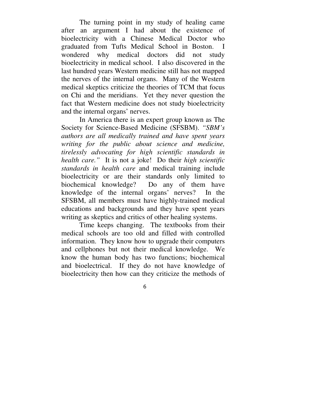The turning point in my study of healing came after an argument I had about the existence of bioelectricity with a Chinese Medical Doctor who graduated from Tufts Medical School in Boston. I wondered why medical doctors did not study bioelectricity in medical school. I also discovered in the last hundred years Western medicine still has not mapped the nerves of the internal organs. Many of the Western medical skeptics criticize the theories of TCM that focus on Chi and the meridians. Yet they never question the fact that Western medicine does not study bioelectricity and the internal organs' nerves.

In America there is an expert group known as The Society for Science-Based Medicine (SFSBM). *"SBM's authors are all medically trained and have spent years writing for the public about science and medicine, tirelessly advocating for high scientific standards in health care."* It is not a joke! Do their *high scientific standards in health care* and medical training include bioelectricity or are their standards only limited to biochemical knowledge? Do any of them have knowledge of the internal organs' nerves? In the SFSBM, all members must have highly-trained medical educations and backgrounds and they have spent years writing as skeptics and critics of other healing systems.

Time keeps changing. The textbooks from their medical schools are too old and filled with controlled information. They know how to upgrade their computers and cellphones but not their medical knowledge. We know the human body has two functions; biochemical and bioelectrical. If they do not have knowledge of bioelectricity then how can they criticize the methods of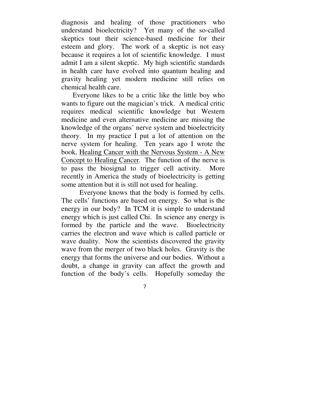diagnosis and healing of those practitioners who understand bioelectricity? Yet many of the so-called skeptics tout their science-based medicine for their esteem and glory. The work of a skeptic is not easy because it requires a lot of scientific knowledge. I must admit I am a silent skeptic. My high scientific standards in health care have evolved into quantum healing and gravity healing yet modern medicine still relies on chemical health care.

Everyone likes to be a critic like the little boy who wants to figure out the magician's trick. A medical critic requires medical scientific knowledge but Western medicine and even alternative medicine are missing the knowledge of the organs' nerve system and bioelectricity theory. In my practice I put a lot of attention on the nerve system for healing. Ten years ago I wrote the book, Healing Cancer with the Nervous System - A New Concept to Healing Cancer*.* The function of the nerve is to pass the biosignal to trigger cell activity. More recently in America the study of bioelectricity is getting some attention but it is still not used for healing.

Everyone knows that the body is formed by cells. The cells' functions are based on energy. So what is the energy in our body? In TCM it is simple to understand energy which is just called Chi. In science any energy is formed by the particle and the wave. Bioelectricity carries the electron and wave which is called particle or wave duality. Now the scientists discovered the gravity wave from the merger of two black holes. Gravity is the energy that forms the universe and our bodies. Without a doubt, a change in gravity can affect the growth and function of the body's cells. Hopefully someday the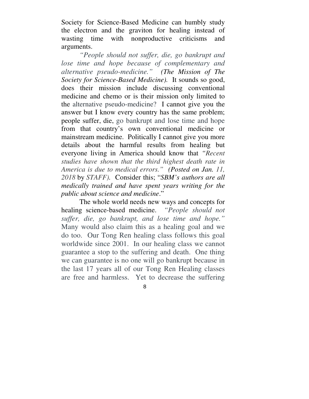Society for Science-Based Medicine can humbly study the electron and the graviton for healing instead of wasting time with nonproductive criticisms and arguments.

*"People should not suffer, die, go bankrupt and lose time and hope because of complementary and alternative pseudo-medicine." (The Mission of The Society for Science-Based Medicine).* It sounds so good, does their mission include discussing conventional medicine and chemo or is their mission only limited to the alternative pseudo-medicine? I cannot give you the answer but I know every country has the same problem; people suffer, die, go bankrupt and lose time and hope from that country's own conventional medicine or mainstream medicine. Politically I cannot give you more details about the harmful results from healing but everyone living in America should know that *"Recent studies have shown that the third highest death rate in America is due to medical errors." (Posted on Jan. 11, 2018* by *STAFF).* Consider this; "*SBM's authors are all medically trained and have spent years writing for the public about science and medicine*."

The whole world needs new ways and concepts for healing science-based medicine. *"People should not suffer, die, go bankrupt, and lose time and hope."*  Many would also claim this as a healing goal and we do too. Our Tong Ren healing class follows this goal worldwide since 2001. In our healing class we cannot guarantee a stop to the suffering and death. One thing we can guarantee is no one will go bankrupt because in the last 17 years all of our Tong Ren Healing classes are free and harmless. Yet to decrease the suffering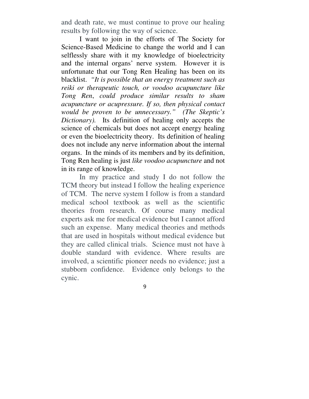and death rate, we must continue to prove our healing results by following the way of science.

I want to join in the efforts of The Society for Science-Based Medicine to change the world and I can selflessly share with it my knowledge of bioelectricity and the internal organs' nerve system. However it is unfortunate that our Tong Ren Healing has been on its blacklist. *"It is possible that an energy treatment such as reiki or therapeutic touch, or voodoo acupuncture like Tong Ren*, *could produce similar results to sham acupuncture or acupressure. If so, then physical contact would be proven to be unnecessary." (The Skeptic's Dictionary).* Its definition of healing only accepts the science of chemicals but does not accept energy healing or even the bioelectricity theory. Its definition of healing does not include any nerve information about the internal organs. In the minds of its members and by its definition, Tong Ren healing is just *like voodoo acupuncture* and not in its range of knowledge.

In my practice and study I do not follow the TCM theory but instead I follow the healing experience of TCM. The nerve system I follow is from a standard medical school textbook as well as the scientific theories from research. Of course many medical experts ask me for medical evidence but I cannot afford such an expense. Many medical theories and methods that are used in hospitals without medical evidence but they are called clinical trials. Science must not have à double standard with evidence. Where results are involved, a scientific pioneer needs no evidence; just a stubborn confidence. Evidence only belongs to the cynic.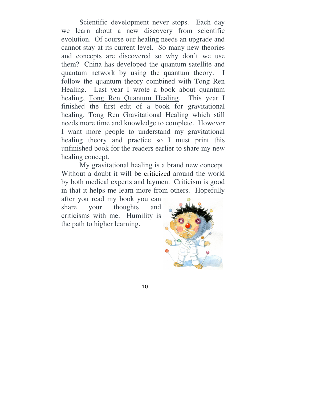Scientific development never stops. Each day we learn about a new discovery from scientific evolution. Of course our healing needs an upgrade and cannot stay at its current level. So many new theories and concepts are discovered so why don't we use them? China has developed the quantum satellite and quantum network by using the quantum theory. I follow the quantum theory combined with Tong Ren Healing. Last year I wrote a book about quantum healing, Tong Ren Quantum Healing*.* This year I finished the first edit of a book for gravitational healing, Tong Ren Gravitational Healing which still needs more time and knowledge to complete. However I want more people to understand my gravitational healing theory and practice so I must print this unfinished book for the readers earlier to share my new healing concept.

My gravitational healing is a brand new concept. Without a doubt it will be criticized around the world by both medical experts and laymen. Criticism is good in that it helps me learn more from others. Hopefully

after you read my book you can share your thoughts and criticisms with me. Humility is the path to higher learning.

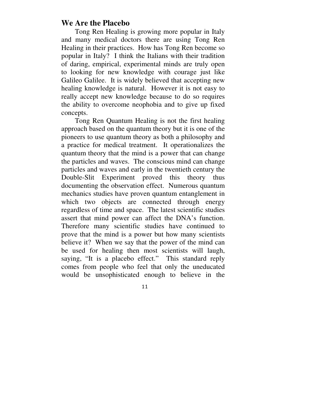#### **We Are the Placebo**

Tong Ren Healing is growing more popular in Italy and many medical doctors there are using Tong Ren Healing in their practices. How has Tong Ren become so popular in Italy? I think the Italians with their tradition of daring, empirical, experimental minds are truly open to looking for new knowledge with courage just like Galileo Galilee. It is widely believed that accepting new healing knowledge is natural. However it is not easy to really accept new knowledge because to do so requires the ability to overcome neophobia and to give up fixed concepts.

Tong Ren Quantum Healing is not the first healing approach based on the quantum theory but it is one of the pioneers to use quantum theory as both a philosophy and a practice for medical treatment. It operationalizes the quantum theory that the mind is a power that can change the particles and waves. The conscious mind can change particles and waves and early in the twentieth century the Double-Slit Experiment proved this theory thus documenting the observation effect. Numerous quantum mechanics studies have proven quantum entanglement in which two objects are connected through energy regardless of time and space. The latest scientific studies assert that mind power can affect the DNA's function. Therefore many scientific studies have continued to prove that the mind is a power but how many scientists believe it? When we say that the power of the mind can be used for healing then most scientists will laugh, saying, "It is a placebo effect." This standard reply comes from people who feel that only the uneducated would be unsophisticated enough to believe in the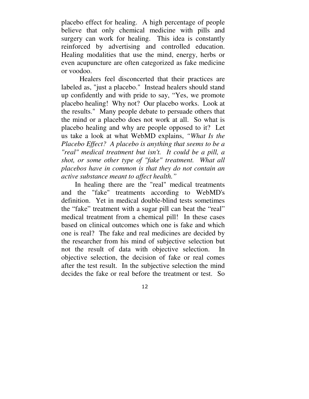placebo effect for healing. A high percentage of people believe that only chemical medicine with pills and surgery can work for healing. This idea is constantly reinforced by advertising and controlled education. Healing modalities that use the mind, energy, herbs or even acupuncture are often categorized as fake medicine or voodoo.

Healers feel disconcerted that their practices are labeled as, "just a placebo." Instead healers should stand up confidently and with pride to say, "Yes, we promote placebo healing! Why not? Our placebo works. Look at the results." Many people debate to persuade others that the mind or a placebo does not work at all. So what is placebo healing and why are people opposed to it? Let us take a look at what WebMD explains, *"What Is the Placebo Effect? A placebo is anything that seems to be a "real" medical treatment but isn't. It could be a pill, a shot, or some other type of "fake" treatment. What all placebos have in common is that they do not contain an active substance meant to affect health."* 

In healing there are the "real" medical treatments and the "fake" treatments according to WebMD's definition. Yet in medical double-blind tests sometimes the "fake" treatment with a sugar pill can beat the "real" medical treatment from a chemical pill! In these cases based on clinical outcomes which one is fake and which one is real? The fake and real medicines are decided by the researcher from his mind of subjective selection but not the result of data with objective selection. In objective selection, the decision of fake or real comes after the test result. In the subjective selection the mind decides the fake or real before the treatment or test. So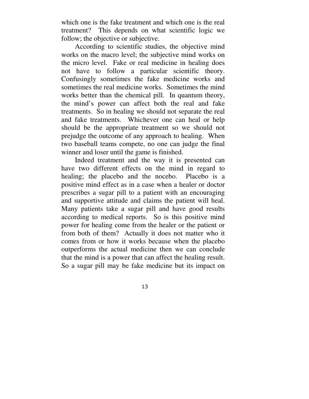which one is the fake treatment and which one is the real treatment? This depends on what scientific logic we follow; the objective or subjective.

According to scientific studies, the objective mind works on the macro level; the subjective mind works on the micro level. Fake or real medicine in healing does not have to follow a particular scientific theory. Confusingly sometimes the fake medicine works and sometimes the real medicine works. Sometimes the mind works better than the chemical pill. In quantum theory, the mind's power can affect both the real and fake treatments. So in healing we should not separate the real and fake treatments. Whichever one can heal or help should be the appropriate treatment so we should not prejudge the outcome of any approach to healing. When two baseball teams compete, no one can judge the final winner and loser until the game is finished.

Indeed treatment and the way it is presented can have two different effects on the mind in regard to healing; the placebo and the nocebo. Placebo is a positive mind effect as in a case when a healer or doctor prescribes a sugar pill to a patient with an encouraging and supportive attitude and claims the patient will heal. Many patients take a sugar pill and have good results according to medical reports. So is this positive mind power for healing come from the healer or the patient or from both of them? Actually it does not matter who it comes from or how it works because when the placebo outperforms the actual medicine then we can conclude that the mind is a power that can affect the healing result. So a sugar pill may be fake medicine but its impact on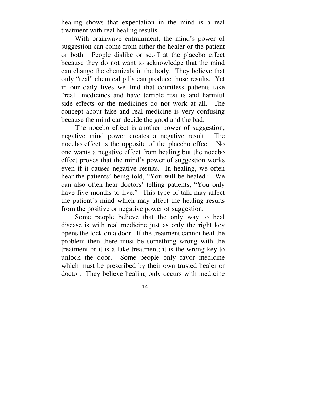healing shows that expectation in the mind is a real treatment with real healing results.

With brainwave entrainment, the mind's power of suggestion can come from either the healer or the patient or both. People dislike or scoff at the placebo effect because they do not want to acknowledge that the mind can change the chemicals in the body. They believe that only "real" chemical pills can produce those results. Yet in our daily lives we find that countless patients take "real" medicines and have terrible results and harmful side effects or the medicines do not work at all. The concept about fake and real medicine is very confusing because the mind can decide the good and the bad.

The nocebo effect is another power of suggestion; negative mind power creates a negative result. The nocebo effect is the opposite of the placebo effect. No one wants a negative effect from healing but the nocebo effect proves that the mind's power of suggestion works even if it causes negative results. In healing, we often hear the patients' being told, "You will be healed." We can also often hear doctors' telling patients, "You only have five months to live." This type of talk may affect the patient's mind which may affect the healing results from the positive or negative power of suggestion.

Some people believe that the only way to heal disease is with real medicine just as only the right key opens the lock on a door. If the treatment cannot heal the problem then there must be something wrong with the treatment or it is a fake treatment; it is the wrong key to unlock the door. Some people only favor medicine which must be prescribed by their own trusted healer or doctor. They believe healing only occurs with medicine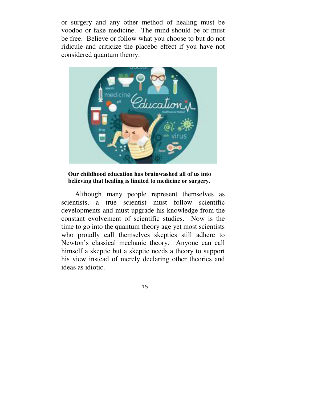or surgery and any other method of healing must be voodoo or fake medicine. The mind should be or must be free. Believe or follow what you choose to but do not ridicule and criticize the placebo effect if you have not considered quantum theory.



#### **Our childhood education has brainwashed all of us into believing that healing is limited to medicine or surgery.**

Although many people represent themselves as scientists, a true scientist must follow scientific developments and must upgrade his knowledge from the constant evolvement of scientific studies. Now is the time to go into the quantum theory age yet most scientists who proudly call themselves skeptics still adhere to Newton's classical mechanic theory. Anyone can call himself a skeptic but a skeptic needs a theory to support his view instead of merely declaring other theories and ideas as idiotic.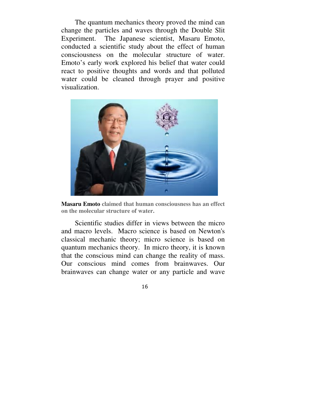The quantum mechanics theory proved the mind can change the particles and waves through the Double Slit Experiment. The Japanese scientist, Masaru Emoto, conducted a scientific study about the effect of human consciousness on the molecular structure of water. Emoto's early work explored his belief that water could react to positive thoughts and words and that polluted water could be cleaned through prayer and positive visualization.



**Masaru Emoto claimed that human consciousness has an effect on the molecular structure of water.** 

Scientific studies differ in views between the micro and macro levels. Macro science is based on Newton's classical mechanic theory; micro science is based on quantum mechanics theory. In micro theory, it is known that the conscious mind can change the reality of mass. Our conscious mind comes from brainwaves. Our brainwaves can change water or any particle and wave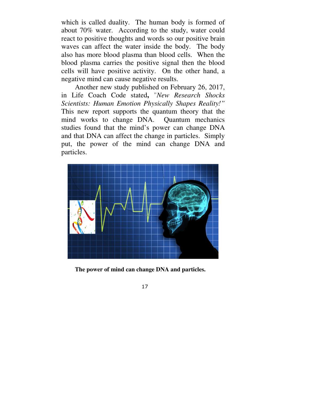which is called duality. The human body is formed of about 70% water. According to the study, water could react to positive thoughts and words so our positive brain waves can affect the water inside the body. The body also has more blood plasma than blood cells. When the blood plasma carries the positive signal then the blood cells will have positive activity. On the other hand, a negative mind can cause negative results.

Another new study published on February 26, 2017, in Life Coach Code stated**,** "*New Research Shocks Scientists: Human Emotion Physically Shapes Reality!"*  This new report supports the quantum theory that the mind works to change DNA. Quantum mechanics studies found that the mind's power can change DNA and that DNA can affect the change in particles. Simply put, the power of the mind can change DNA and particles.



**The power of mind can change DNA and particles.**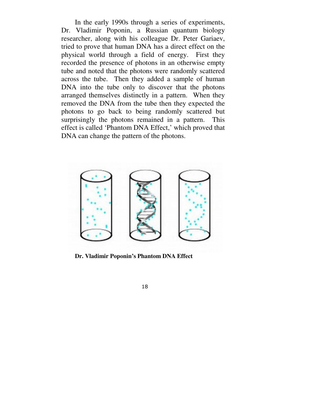In the early 1990s through a series of experiments, Dr. Vladimir Poponin, a Russian quantum biology researcher, along with his colleague Dr. Peter Gariaev, tried to prove that human DNA has a direct effect on the physical world through a field of energy. First they recorded the presence of photons in an otherwise empty tube and noted that the photons were randomly scattered across the tube. Then they added a sample of human DNA into the tube only to discover that the photons arranged themselves distinctly in a pattern. When they removed the DNA from the tube then they expected the photons to go back to being randomly scattered but surprisingly the photons remained in a pattern. This effect is called 'Phantom DNA Effect,' which proved that DNA can change the pattern of the photons.



**Dr. Vladimir Poponin's Phantom DNA Effect**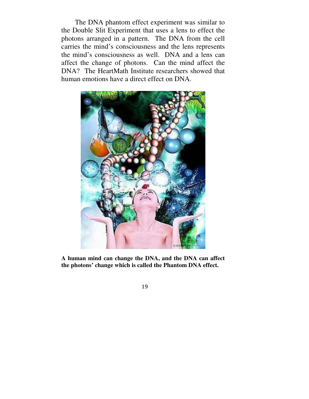The DNA phantom effect experiment was similar to the Double Slit Experiment that uses a lens to effect the photons arranged in a pattern. The DNA from the cell carries the mind's consciousness and the lens represents the mind's consciousness as well. DNA and a lens can affect the change of photons. Can the mind affect the DNA? The HeartMath Institute researchers showed that human emotions have a direct effect on DNA.



**A human mind can change the DNA, and the DNA can affect the photons' change which is called the Phantom DNA effect.**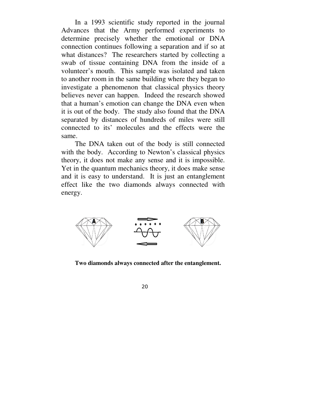In a 1993 scientific study reported in the journal Advances that the Army performed experiments to determine precisely whether the emotional or DNA connection continues following a separation and if so at what distances? The researchers started by collecting a swab of tissue containing DNA from the inside of a volunteer's mouth. This sample was isolated and taken to another room in the same building where they began to investigate a phenomenon that classical physics theory believes never can happen. Indeed the research showed that a human's emotion can change the DNA even when it is out of the body. The study also found that the DNA separated by distances of hundreds of miles were still connected to its' molecules and the effects were the same.

The DNA taken out of the body is still connected with the body. According to Newton's classical physics theory, it does not make any sense and it is impossible. Yet in the quantum mechanics theory, it does make sense and it is easy to understand. It is just an entanglement effect like the two diamonds always connected with energy.



**Two diamonds always connected after the entanglement.**